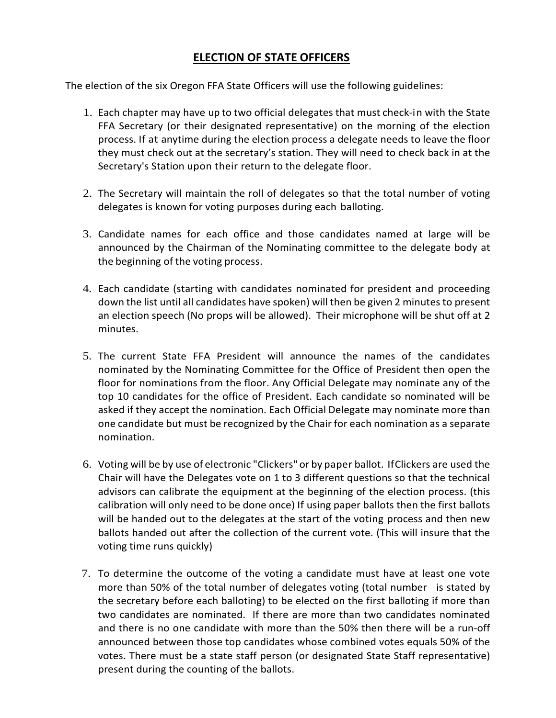## **ELECTION OF STATE OFFICERS**

The election of the six Oregon FFA State Officers will use the following guidelines:

- 1. Each chapter may have up to two official delegates that must check-in with the State FFA Secretary (or their designated representative) on the morning of the election process. If at anytime during the election process a delegate needs to leave the floor they must check out at the secretary's station. They will need to check back in at the Secretary's Station upon their return to the delegate floor.
- 2. The Secretary will maintain the roll of delegates so that the total number of voting delegates is known for voting purposes during each balloting.
- 3. Candidate names for each office and those candidates named at large will be announced by the Chairman of the Nominating committee to the delegate body at the beginning of the voting process.
- 4. Each candidate (starting with candidates nominated for president and proceeding down the list until all candidates have spoken) will then be given 2 minutes to present an election speech (No props will be allowed). Their microphone will be shut off at 2 minutes.
- 5. The current State FFA President will announce the names of the candidates nominated by the Nominating Committee for the Office of President then open the floor for nominations from the floor. Any Official Delegate may nominate any of the top 10 candidates for the office of President. Each candidate so nominated will be asked if they accept the nomination. Each Official Delegate may nominate more than one candidate but must be recognized by the Chair for each nomination as a separate nomination.
- 6. Voting will be by use of electronic "Clickers" or by paper ballot. IfClickers are used the Chair will have the Delegates vote on 1 to 3 different questions so that the technical advisors can calibrate the equipment at the beginning of the election process. (this calibration will only need to be done once) If using paper ballots then the first ballots will be handed out to the delegates at the start of the voting process and then new ballots handed out after the collection of the current vote. (This will insure that the voting time runs quickly)
- 7. To determine the outcome of the voting a candidate must have at least one vote more than 50% of the total number of delegates voting (total number is stated by the secretary before each balloting) to be elected on the first balloting if more than two candidates are nominated. If there are more than two candidates nominated and there is no one candidate with more than the 50% then there will be a run-off announced between those top candidates whose combined votes equals 50% of the votes. There must be a state staff person (or designated State Staff representative) present during the counting of the ballots.